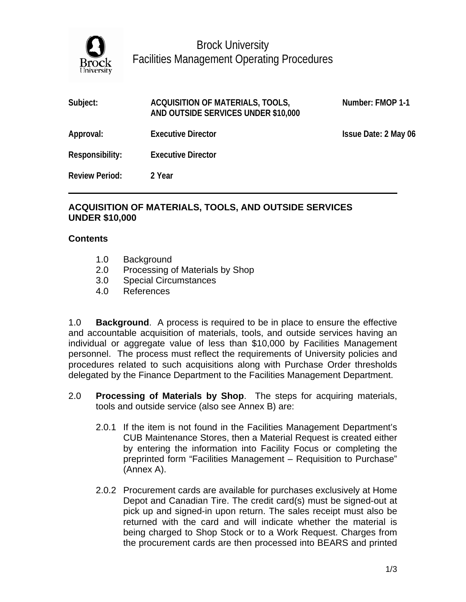

Brock University Facilities Management Operating Procedures

| Subject:              | ACQUISITION OF MATERIALS, TOOLS,<br>AND OUTSIDE SERVICES UNDER \$10,000 | Number: FMOP 1-1     |
|-----------------------|-------------------------------------------------------------------------|----------------------|
| Approval:             | <b>Executive Director</b>                                               | Issue Date: 2 May 06 |
| Responsibility:       | <b>Executive Director</b>                                               |                      |
| <b>Review Period:</b> | 2 Year                                                                  |                      |

## **ACQUISITION OF MATERIALS, TOOLS, AND OUTSIDE SERVICES UNDER \$10,000**

## **Contents**

- 1.0 Background
- 2.0 Processing of Materials by Shop
- 3.0 Special Circumstances
- 4.0 References

1.0 **Background**. A process is required to be in place to ensure the effective and accountable acquisition of materials, tools, and outside services having an individual or aggregate value of less than \$10,000 by Facilities Management personnel. The process must reflect the requirements of University policies and procedures related to such acquisitions along with Purchase Order thresholds delegated by the Finance Department to the Facilities Management Department.

- 2.0 **Processing of Materials by Shop**. The steps for acquiring materials, tools and outside service (also see Annex B) are:
	- 2.0.1 If the item is not found in the Facilities Management Department's CUB Maintenance Stores, then a Material Request is created either by entering the information into Facility Focus or completing the preprinted form "Facilities Management – Requisition to Purchase" (Annex A).
	- 2.0.2 Procurement cards are available for purchases exclusively at Home Depot and Canadian Tire. The credit card(s) must be signed-out at pick up and signed-in upon return. The sales receipt must also be returned with the card and will indicate whether the material is being charged to Shop Stock or to a Work Request. Charges from the procurement cards are then processed into BEARS and printed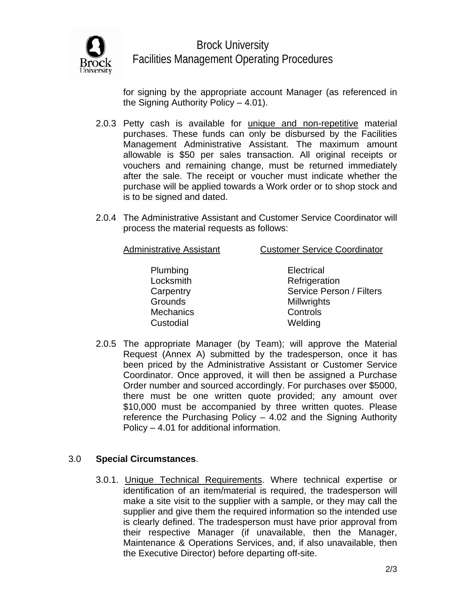

Brock University Facilities Management Operating Procedures

for signing by the appropriate account Manager (as referenced in the Signing Authority Policy – 4.01).

- 2.0.3 Petty cash is available for unique and non-repetitive material purchases. These funds can only be disbursed by the Facilities Management Administrative Assistant. The maximum amount allowable is \$50 per sales transaction. All original receipts or vouchers and remaining change, must be returned immediately after the sale. The receipt or voucher must indicate whether the purchase will be applied towards a Work order or to shop stock and is to be signed and dated.
- 2.0.4 The Administrative Assistant and Customer Service Coordinator will process the material requests as follows:

Administrative Assistant Customer Service Coordinator

 Plumbing Electrical Mechanics **Controls** Custodial Welding

Locksmith Refrigeration Carpentry **Service Person / Filters** Grounds Millwrights

2.0.5 The appropriate Manager (by Team); will approve the Material Request (Annex A) submitted by the tradesperson, once it has been priced by the Administrative Assistant or Customer Service Coordinator. Once approved, it will then be assigned a Purchase Order number and sourced accordingly. For purchases over \$5000, there must be one written quote provided; any amount over \$10,000 must be accompanied by three written quotes. Please reference the Purchasing Policy – 4.02 and the Signing Authority Policy – 4.01 for additional information.

# 3.0 **Special Circumstances**.

3.0.1. Unique Technical Requirements. Where technical expertise or identification of an item/material is required, the tradesperson will make a site visit to the supplier with a sample, or they may call the supplier and give them the required information so the intended use is clearly defined. The tradesperson must have prior approval from their respective Manager (if unavailable, then the Manager, Maintenance & Operations Services, and, if also unavailable, then the Executive Director) before departing off-site.